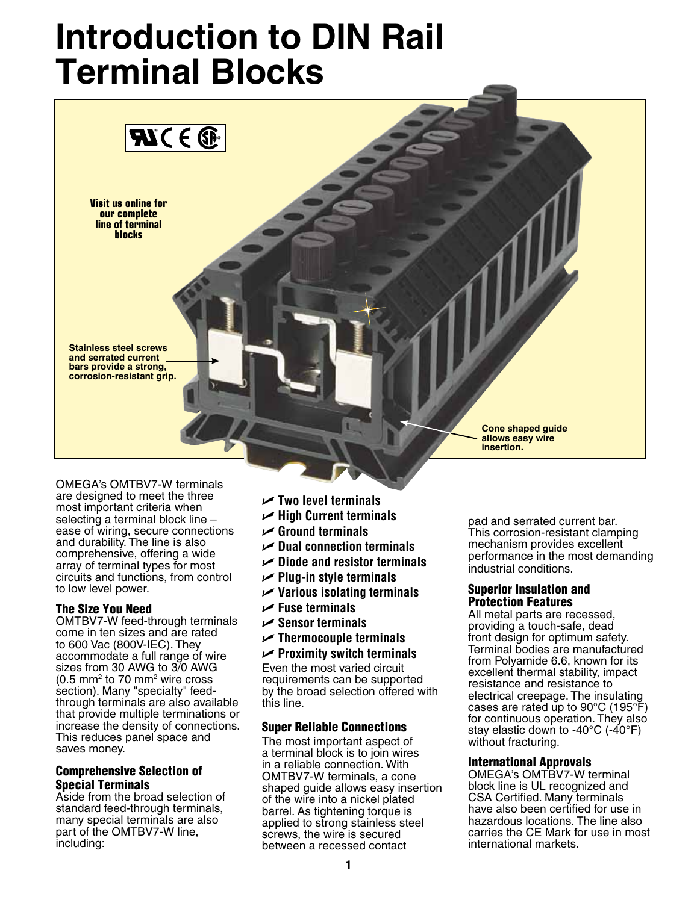# **Introduction to DIN Rail Terminal Blocks**



Omega's OMTBV7-W terminals are designed to meet the three most important criteria when selecting a terminal block line – ease of wiring, secure connections and durability. The line is also comprehensive, offering a wide array of terminal types for most circuits and functions, from control to low level power.

#### The Size You Need

OMTBV7-W feed-through terminals come in ten sizes and are rated to 600 Vac (800V-IEC). They accommodate a full range of wire sizes from 30 AWG to 3/0 AWG  $(0.5 \text{ mm}^2 \text{ to } 70 \text{ mm}^2 \text{ wire cross})$ section). Many "specialty" feedthrough terminals are also available that provide multiple terminations or increase the density of connections. This reduces panel space and saves money.

### Comprehensive Selection of Special Terminals

Aside from the broad selection of standard feed-through terminals, many special terminals are also part of the OMTBV7-W line, including:

- U **Two level terminals**
- U **High Current terminals**
- U **Ground terminals**
- U **Dual connection terminals**
- U **Diode and resistor terminals**
- U **Plug-in style terminals**
- U **Various isolating terminals**
- U **Fuse terminals**
- U **Sensor terminals**
- U **Thermocouple terminals**
- U **Proximity switch terminals**

Even the most varied circuit requirements can be supported by the broad selection offered with this line.

#### Super Reliable Connections

The most important aspect of a terminal block is to join wires in a reliable connection. With OMTBV7-W terminals, a cone shaped guide allows easy insertion of the wire into a nickel plated barrel. As tightening torque is applied to strong stainless steel screws, the wire is secured between a recessed contact

pad and serrated current bar. This corrosion-resistant clamping mechanism provides excellent performance in the most demanding industrial conditions.

#### Superior Insulation and Protection Features

All metal parts are recessed, providing a touch-safe, dead front design for optimum safety. Terminal bodies are manufactured from Polyamide 6.6, known for its excellent thermal stability, impact resistance and resistance to electrical creepage. The insulating cases are rated up to 90°C (195°F) for continuous operation. They also stay elastic down to -40 $^{\circ}$ C (-40 $^{\circ}$ F) without fracturing.

#### International Approvals

Omega's OMTBV7-W terminal block line is UL recognized and CSA Certified. Many terminals have also been certified for use in hazardous locations. The line also carries the CE Mark for use in most international markets.